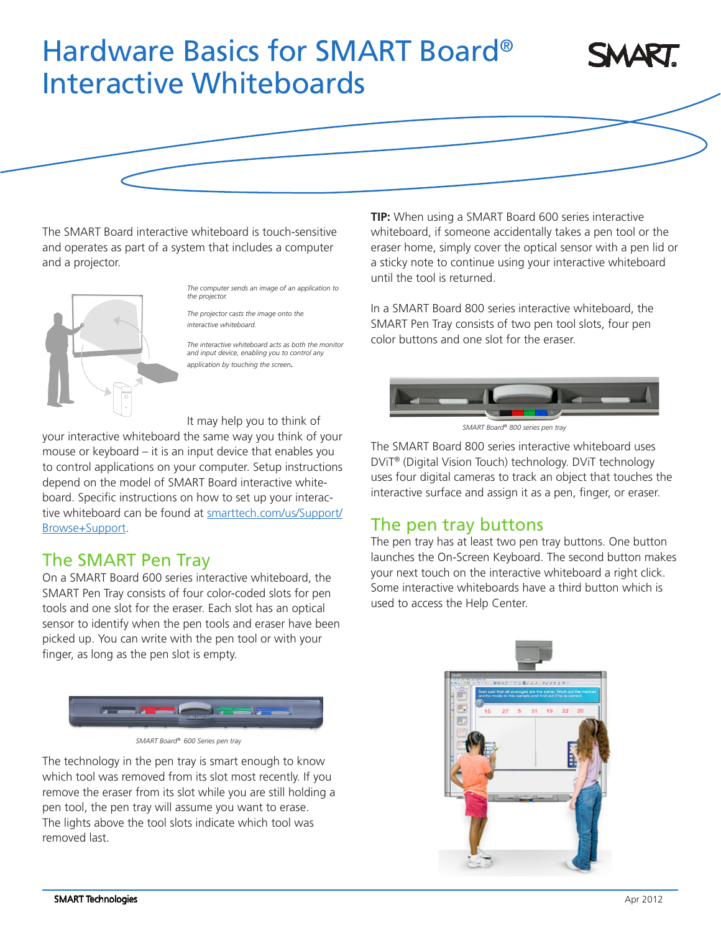# Hardware Basics for SMART Board® Interactive Whiteboards



The SMART Board interactive whiteboard is touch-sensitive and operates as part of a system that includes a computer and a projector.



*The computer sends an image of an application to the projector.*

*The projector casts the image onto the interactive whiteboard.*

*The interactive whiteboard acts as both the monitor and input device, enabling you to control any application by touching the screen.*

It may help you to think of

your interactive whiteboard the same way you think of your mouse or keyboard – it is an input device that enables you to control applications on your computer. Setup instructions depend on the model of SMART Board interactive whiteboard. Specific instructions on how to set up your interactive whiteboard can be found at [smarttech.com/us/Support/](http://smarttech.com/us/Support/Browse+Support) [Browse+Support.](http://smarttech.com/us/Support/Browse+Support)

## The SMART Pen Tray

On a SMART Board 600 series interactive whiteboard, the SMART Pen Tray consists of four color-coded slots for pen tools and one slot for the eraser. Each slot has an optical sensor to identify when the pen tools and eraser have been picked up. You can write with the pen tool or with your finger, as long as the pen slot is empty.



*SMART Board® 600 Series pen tray*

The technology in the pen tray is smart enough to know which tool was removed from its slot most recently. If you remove the eraser from its slot while you are still holding a pen tool, the pen tray will assume you want to erase. The lights above the tool slots indicate which tool was removed last.

**TIP:** When using a SMART Board 600 series interactive whiteboard, if someone accidentally takes a pen tool or the eraser home, simply cover the optical sensor with a pen lid or a sticky note to continue using your interactive whiteboard until the tool is returned.

In a SMART Board 800 series interactive whiteboard, the SMART Pen Tray consists of two pen tool slots, four pen color buttons and one slot for the eraser.



*SMART Board® 800 series pen tray*

The SMART Board 800 series interactive whiteboard uses DViT® (Digital Vision Touch) technology. DViT technology uses four digital cameras to track an object that touches the interactive surface and assign it as a pen, finger, or eraser.

## The pen tray buttons

The pen tray has at least two pen tray buttons. One button launches the On-Screen Keyboard. The second button makes your next touch on the interactive whiteboard a right click. Some interactive whiteboards have a third button which is used to access the Help Center.